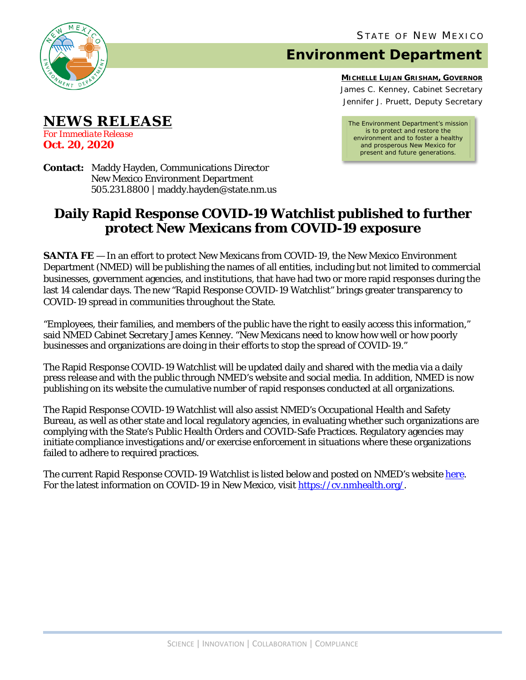

**NEWS RELEASE**

*For Immediate Release* **Oct. 20, 2020** 

## **Environment Department**

**MICHELLE LUJAN GRISHAM, GOVERNOR** James C. Kenney, Cabinet Secretary Jennifer J. Pruett, Deputy Secretary

*The Environment Department's mission is to protect and restore the environment and to foster a healthy and prosperous New Mexico for present and future generations.*

**Contact:** Maddy Hayden, Communications Director New Mexico Environment Department 505.231.8800 | maddy.hayden@state.nm.us

## **Daily Rapid Response COVID-19 Watchlist published to further protect New Mexicans from COVID-19 exposure**

**SANTA FE** — In an effort to protect New Mexicans from COVID-19, the New Mexico Environment Department (NMED) will be publishing the names of all entities, including but not limited to commercial businesses, government agencies, and institutions, that have had two or more rapid responses during the last 14 calendar days. The new "Rapid Response COVID-19 Watchlist" brings greater transparency to COVID-19 spread in communities throughout the State.

"Employees, their families, and members of the public have the right to easily access this information," said NMED Cabinet Secretary James Kenney. "New Mexicans need to know how well or how poorly businesses and organizations are doing in their efforts to stop the spread of COVID-19."

The Rapid Response COVID-19 Watchlist will be updated daily and shared with the media via a daily press release and with the public through NMED's website and social media. In addition, NMED is now publishing on its website the cumulative number of rapid responses conducted at all organizations.

The Rapid Response COVID-19 Watchlist will also assist NMED's Occupational Health and Safety Bureau, as well as other state and local regulatory agencies, in evaluating whether such organizations are complying with the State's Public Health Orders and COVID-Safe Practices. Regulatory agencies may initiate compliance investigations and/or exercise enforcement in situations where these organizations failed to adhere to required practices.

The current Rapid Response COVID-19 Watchlist is listed below and posted on NMED's website [here.](https://www.env.nm.gov/) For the latest information on COVID-19 in New Mexico, visit [https://cv.nmhealth.org/.](https://cv.nmhealth.org/)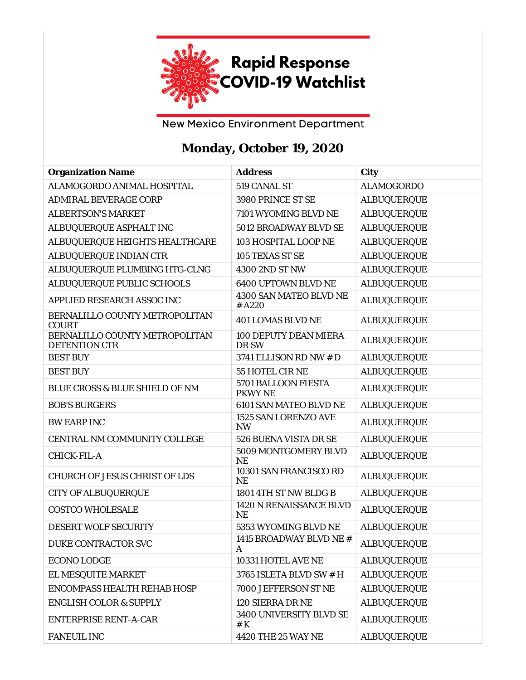

New Mexico Environment Department

## **Monday, October 19, 2020**

| <b>Organization Name</b>                               | <b>Address</b>                        | City               |
|--------------------------------------------------------|---------------------------------------|--------------------|
| ALAMOGORDO ANIMAL HOSPITAL                             | 519 CANAL ST                          | <b>ALAMOGORDO</b>  |
| <b>ADMIRAL BEVERAGE CORP</b>                           | 3980 PRINCE ST SE                     | <b>ALBUQUERQUE</b> |
| <b>ALBERTSON'S MARKET</b>                              | 7101 WYOMING BLVD NE                  | <b>ALBUQUERQUE</b> |
| ALBUQUERQUE ASPHALT INC                                | 5012 BROADWAY BLVD SE                 | <b>ALBUQUERQUE</b> |
| ALBUQUERQUE HEIGHTS HEALTHCARE                         | 103 HOSPITAL LOOP NE                  | <b>ALBUQUERQUE</b> |
| ALBUQUERQUE INDIAN CTR                                 | 105 TEXAS ST SE                       | <b>ALBUQUERQUE</b> |
| ALBUQUERQUE PLUMBING HTG-CLNG                          | 4300 2ND ST NW                        | <b>ALBUQUERQUE</b> |
| ALBUQUERQUE PUBLIC SCHOOLS                             | 6400 UPTOWN BLVD NE                   | <b>ALBUQUERQUE</b> |
| APPLIED RESEARCH ASSOC INC                             | 4300 SAN MATEO BLVD NE<br>#A220       | <b>ALBUQUERQUE</b> |
| BERNALILLO COUNTY METROPOLITAN<br><b>COURT</b>         | <b>401 LOMAS BLVD NE</b>              | <b>ALBUQUERQUE</b> |
| BERNALILLO COUNTY METROPOLITAN<br><b>DETENTION CTR</b> | <b>100 DEPUTY DEAN MIERA</b><br>DR SW | <b>ALBUQUERQUE</b> |
| <b>BEST BUY</b>                                        | 3741 ELLISON RD NW # D                | <b>ALBUQUERQUE</b> |
| <b>BEST BUY</b>                                        | 55 HOTEL CIR NE                       | <b>ALBUQUERQUE</b> |
| <b>BLUE CROSS &amp; BLUE SHIELD OF NM</b>              | 5701 BALLOON FIESTA<br><b>PKWY NE</b> | <b>ALBUQUERQUE</b> |
| <b>BOB'S BURGERS</b>                                   | 6101 SAN MATEO BLVD NE                | <b>ALBUQUERQUE</b> |
| <b>BW EARP INC</b>                                     | 1525 SAN LORENZO AVE<br><b>NW</b>     | <b>ALBUQUERQUE</b> |
| CENTRAL NM COMMUNITY COLLEGE                           | 526 BUENA VISTA DR SE                 | <b>ALBUQUERQUE</b> |
| CHICK-FIL-A                                            | 5009 MONTGOMERY BLVD<br><b>NE</b>     | <b>ALBUQUERQUE</b> |
| <b>CHURCH OF JESUS CHRIST OF LDS</b>                   | 10301 SAN FRANCISCO RD<br><b>NE</b>   | <b>ALBUQUERQUE</b> |
| <b>CITY OF ALBUQUERQUE</b>                             | 1801 4TH ST NW BLDG B                 | <b>ALBUQUERQUE</b> |
| <b>COSTCO WHOLESALE</b>                                | 1420 N RENAISSANCE BLVD<br><b>NE</b>  | <b>ALBUQUERQUE</b> |
| DESERT WOLF SECURITY                                   | 5353 WYOMING BLVD NE                  | <b>ALBUQUERQUE</b> |
| DUKE CONTRACTOR SVC                                    | 1415 BROADWAY BLVD NE #<br>A          | <b>ALBUQUERQUE</b> |
| <b>ECONO LODGE</b>                                     | 10331 HOTEL AVE NE                    | <b>ALBUQUERQUE</b> |
| EL MESQUITE MARKET                                     | 3765 ISLETA BLVD SW # H               | <b>ALBUQUERQUE</b> |
| ENCOMPASS HEALTH REHAB HOSP                            | 7000 JEFFERSON ST NE                  | <b>ALBUQUERQUE</b> |
| <b>ENGLISH COLOR &amp; SUPPLY</b>                      | 120 SIERRA DR NE                      | <b>ALBUQUERQUE</b> |
| <b>ENTERPRISE RENT-A-CAR</b>                           | 3400 UNIVERSITY BLVD SE<br># $K$      | <b>ALBUQUERQUE</b> |
| <b>FANEUIL INC</b>                                     | 4420 THE 25 WAY NE                    | <b>ALBUQUERQUE</b> |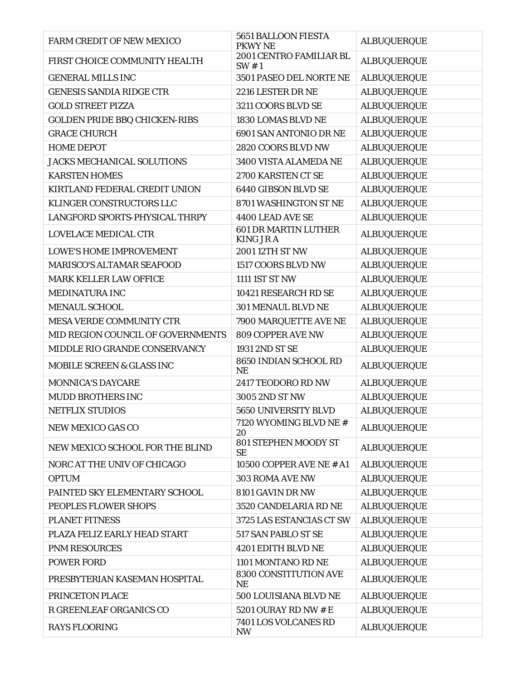| <b>FARM CREDIT OF NEW MEXICO</b>     | 5651 BALLOON FIESTA<br><b>PKWY NE</b>          | <b>ALBUQUERQUE</b> |
|--------------------------------------|------------------------------------------------|--------------------|
| FIRST CHOICE COMMUNITY HEALTH        | 2001 CENTRO FAMILIAR BL<br>SW#1                | <b>ALBUQUERQUE</b> |
| <b>GENERAL MILLS INC</b>             | 3501 PASEO DEL NORTE NE                        | <b>ALBUQUERQUE</b> |
| <b>GENESIS SANDIA RIDGE CTR</b>      | 2216 LESTER DR NE                              | <b>ALBUQUERQUE</b> |
| <b>GOLD STREET PIZZA</b>             | 3211 COORS BLVD SE                             | <b>ALBUQUERQUE</b> |
| <b>GOLDEN PRIDE BBQ CHICKEN-RIBS</b> | 1830 LOMAS BLVD NE                             | <b>ALBUQUERQUE</b> |
| <b>GRACE CHURCH</b>                  | 6901 SAN ANTONIO DR NE                         | <b>ALBUQUERQUE</b> |
| <b>HOME DEPOT</b>                    | 2820 COORS BLVD NW                             | <b>ALBUQUERQUE</b> |
| <b>JACKS MECHANICAL SOLUTIONS</b>    | 3400 VISTA ALAMEDA NE                          | <b>ALBUQUERQUE</b> |
| <b>KARSTEN HOMES</b>                 | 2700 KARSTEN CT SE                             | <b>ALBUQUERQUE</b> |
| KIRTLAND FEDERAL CREDIT UNION        | 6440 GIBSON BLVD SE                            | <b>ALBUQUERQUE</b> |
| KLINGER CONSTRUCTORS LLC             | 8701 WASHINGTON ST NE                          | <b>ALBUQUERQUE</b> |
| LANGFORD SPORTS-PHYSICAL THRPY       | 4400 LEAD AVE SE                               | <b>ALBUQUERQUE</b> |
| <b>LOVELACE MEDICAL CTR</b>          | <b>601 DR MARTIN LUTHER</b><br><b>KING JRA</b> | <b>ALBUQUERQUE</b> |
| <b>LOWE'S HOME IMPROVEMENT</b>       | 2001 12TH ST NW                                | <b>ALBUQUERQUE</b> |
| <b>MARISCO'S ALTAMAR SEAFOOD</b>     | 1517 COORS BLVD NW                             | <b>ALBUQUERQUE</b> |
| MARK KELLER LAW OFFICE               | 1111 1ST ST NW                                 | <b>ALBUQUERQUE</b> |
| <b>MEDINATURA INC</b>                | 10421 RESEARCH RD SE                           | <b>ALBUQUERQUE</b> |
| <b>MENAUL SCHOOL</b>                 | 301 MENAUL BLVD NE                             | <b>ALBUQUERQUE</b> |
| <b>MESA VERDE COMMUNITY CTR</b>      | 7900 MARQUETTE AVE NE                          | <b>ALBUQUERQUE</b> |
| MID REGION COUNCIL OF GOVERNMENTS    | <b>809 COPPER AVE NW</b>                       | <b>ALBUQUERQUE</b> |
| MIDDLE RIO GRANDE CONSERVANCY        | 1931 2ND ST SE                                 | <b>ALBUQUERQUE</b> |
| <b>MOBILE SCREEN &amp; GLASS INC</b> | 8650 INDIAN SCHOOL RD<br><b>NE</b>             | <b>ALBUQUERQUE</b> |
| <b>MONNICA'S DAYCARE</b>             | 2417 TEODORO RD NW                             | <b>ALBUQUERQUE</b> |
| <b>MUDD BROTHERS INC</b>             | 3005 2ND ST NW                                 | <b>ALBUQUERQUE</b> |
| <b>NETFLIX STUDIOS</b>               | 5650 UNIVERSITY BLVD                           | <b>ALBUQUERQUE</b> |
| NEW MEXICO GAS CO                    | 7120 WYOMING BLVD NE #<br>20                   | <b>ALBUQUERQUE</b> |
| NEW MEXICO SCHOOL FOR THE BLIND      | 801 STEPHEN MOODY ST<br><b>SE</b>              | <b>ALBUQUERQUE</b> |
| NORC AT THE UNIV OF CHICAGO          | 10500 COPPER AVE NE # A1                       | <b>ALBUQUERQUE</b> |
| <b>OPTUM</b>                         | 303 ROMA AVE NW                                | <b>ALBUQUERQUE</b> |
| PAINTED SKY ELEMENTARY SCHOOL        | 8101 GAVIN DR NW                               | <b>ALBUQUERQUE</b> |
| PEOPLES FLOWER SHOPS                 | 3520 CANDELARIA RD NE                          | <b>ALBUQUERQUE</b> |
| <b>PLANET FITNESS</b>                | 3725 LAS ESTANCIAS CT SW                       | <b>ALBUQUERQUE</b> |
| PLAZA FELIZ EARLY HEAD START         | 517 SAN PABLO ST SE                            | <b>ALBUQUERQUE</b> |
| <b>PNM RESOURCES</b>                 | 4201 EDITH BLVD NE                             | <b>ALBUQUERQUE</b> |
| <b>POWER FORD</b>                    | 1101 MONTANO RD NE                             | <b>ALBUQUERQUE</b> |
| PRESBYTERIAN KASEMAN HOSPITAL        | 8300 CONSTITUTION AVE<br><b>NE</b>             | <b>ALBUQUERQUE</b> |
| PRINCETON PLACE                      | 500 LOUISIANA BLVD NE                          | <b>ALBUQUERQUE</b> |
| R GREENLEAF ORGANICS CO              | 5201 OURAY RD NW # E                           | <b>ALBUQUERQUE</b> |
| <b>RAYS FLOORING</b>                 | 7401 LOS VOLCANES RD<br><b>NW</b>              | <b>ALBUQUERQUE</b> |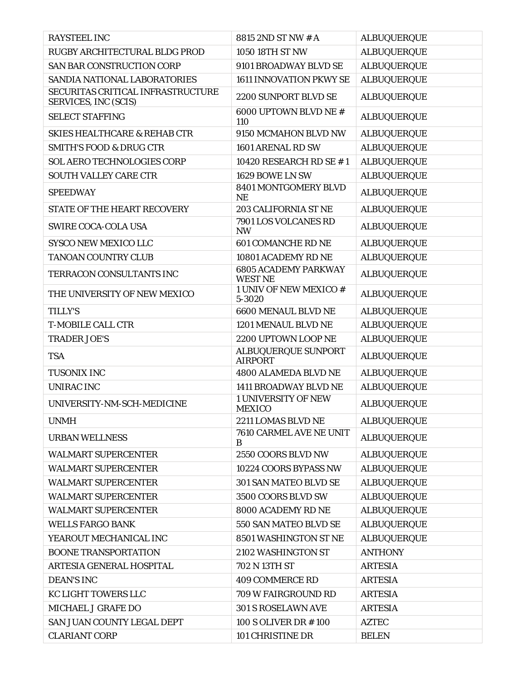| <b>RAYSTEEL INC</b>                                       | 8815 2ND ST NW # A                            | <b>ALBUQUERQUE</b> |
|-----------------------------------------------------------|-----------------------------------------------|--------------------|
| RUGBY ARCHITECTURAL BLDG PROD                             | 1050 18TH ST NW                               | <b>ALBUQUERQUE</b> |
| <b>SAN BAR CONSTRUCTION CORP</b>                          | 9101 BROADWAY BLVD SE                         | <b>ALBUQUERQUE</b> |
| SANDIA NATIONAL LABORATORIES                              | <b>1611 INNOVATION PKWY SE</b>                | <b>ALBUQUERQUE</b> |
| SECURITAS CRITICAL INFRASTRUCTURE<br>SERVICES, INC (SCIS) | 2200 SUNPORT BLVD SE                          | <b>ALBUQUERQUE</b> |
| <b>SELECT STAFFING</b>                                    | 6000 UPTOWN BLVD NE #<br>110                  | <b>ALBUQUERQUE</b> |
| <b>SKIES HEALTHCARE &amp; REHAB CTR</b>                   | 9150 MCMAHON BLVD NW                          | <b>ALBUQUERQUE</b> |
| <b>SMITH'S FOOD &amp; DRUG CTR</b>                        | 1601 ARENAL RD SW                             | <b>ALBUQUERQUE</b> |
| <b>SOL AERO TECHNOLOGIES CORP</b>                         | 10420 RESEARCH RD SE #1                       | <b>ALBUQUERQUE</b> |
| <b>SOUTH VALLEY CARE CTR</b>                              | 1629 BOWE LN SW                               | <b>ALBUQUERQUE</b> |
| <b>SPEEDWAY</b>                                           | 8401 MONTGOMERY BLVD<br><b>NE</b>             | <b>ALBUQUERQUE</b> |
| <b>STATE OF THE HEART RECOVERY</b>                        | <b>203 CALIFORNIA ST NE</b>                   | <b>ALBUQUERQUE</b> |
| <b>SWIRE COCA-COLA USA</b>                                | 7901 LOS VOLCANES RD<br><b>NW</b>             | <b>ALBUQUERQUE</b> |
| <b>SYSCO NEW MEXICO LLC</b>                               | <b>601 COMANCHE RD NE</b>                     | <b>ALBUQUERQUE</b> |
| <b>TANOAN COUNTRY CLUB</b>                                | 10801 ACADEMY RD NE                           | <b>ALBUQUERQUE</b> |
| TERRACON CONSULTANTS INC                                  | <b>6805 ACADEMY PARKWAY</b><br><b>WEST NE</b> | <b>ALBUQUERQUE</b> |
| THE UNIVERSITY OF NEW MEXICO                              | 1 UNIV OF NEW MEXICO #<br>5-3020              | <b>ALBUQUERQUE</b> |
| <b>TILLY'S</b>                                            | <b>6600 MENAUL BLVD NE</b>                    | <b>ALBUQUERQUE</b> |
| <b>T-MOBILE CALL CTR</b>                                  | 1201 MENAUL BLVD NE                           | <b>ALBUQUERQUE</b> |
| <b>TRADER JOE'S</b>                                       | 2200 UPTOWN LOOP NE                           | <b>ALBUQUERQUE</b> |
| <b>TSA</b>                                                | ALBUQUERQUE SUNPORT<br><b>AIRPORT</b>         | <b>ALBUQUERQUE</b> |
| <b>TUSONIX INC</b>                                        | <b>4800 ALAMEDA BLVD NE</b>                   | <b>ALBUQUERQUE</b> |
| <b>UNIRAC INC</b>                                         | <b>1411 BROADWAY BLVD NE</b>                  | <b>ALBUQUERQUE</b> |
| UNIVERSITY-NM-SCH-MEDICINE                                | <b>1 UNIVERSITY OF NEW</b><br><b>MEXICO</b>   | <b>ALBUQUERQUE</b> |
| <b>UNMH</b>                                               | 2211 LOMAS BLVD NE                            | <b>ALBUQUERQUE</b> |
| <b>URBAN WELLNESS</b>                                     | 7610 CARMEL AVE NE UNIT<br>B                  | <b>ALBUQUERQUE</b> |
| <b>WALMART SUPERCENTER</b>                                | 2550 COORS BLVD NW                            | <b>ALBUQUERQUE</b> |
| <b>WALMART SUPERCENTER</b>                                | 10224 COORS BYPASS NW                         | <b>ALBUQUERQUE</b> |
| <b>WALMART SUPERCENTER</b>                                | 301 SAN MATEO BLVD SE                         | <b>ALBUQUERQUE</b> |
| <b>WALMART SUPERCENTER</b>                                | 3500 COORS BLVD SW                            | <b>ALBUQUERQUE</b> |
| <b>WALMART SUPERCENTER</b>                                | 8000 ACADEMY RD NE                            | <b>ALBUQUERQUE</b> |
| <b>WELLS FARGO BANK</b>                                   | 550 SAN MATEO BLVD SE                         | <b>ALBUQUERQUE</b> |
| YEAROUT MECHANICAL INC                                    | 8501 WASHINGTON ST NE                         | <b>ALBUQUERQUE</b> |
| <b>BOONE TRANSPORTATION</b>                               | 2102 WASHINGTON ST                            | <b>ANTHONY</b>     |
| ARTESIA GENERAL HOSPITAL                                  | 702 N 13TH ST                                 | <b>ARTESIA</b>     |
| <b>DEAN'S INC</b>                                         | <b>409 COMMERCE RD</b>                        | <b>ARTESIA</b>     |
| KC LIGHT TOWERS LLC                                       | 709 W FAIRGROUND RD                           | <b>ARTESIA</b>     |
| MICHAEL J GRAFE DO                                        | 301 S ROSELAWN AVE                            | <b>ARTESIA</b>     |
| SAN JUAN COUNTY LEGAL DEPT                                | 100 S OLIVER DR #100                          | <b>AZTEC</b>       |
| <b>CLARIANT CORP</b>                                      | 101 CHRISTINE DR                              | <b>BELEN</b>       |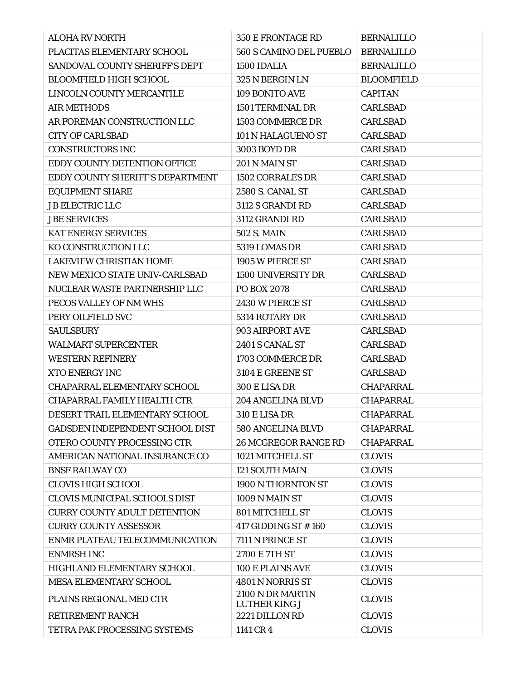| <b>ALOHA RV NORTH</b>                | 350 E FRONTAGE RD                        | <b>BERNALILLO</b> |
|--------------------------------------|------------------------------------------|-------------------|
| PLACITAS ELEMENTARY SCHOOL           | 560 S CAMINO DEL PUEBLO                  | <b>BERNALILLO</b> |
| SANDOVAL COUNTY SHERIFF'S DEPT       | 1500 IDALIA                              | <b>BERNALILLO</b> |
| <b>BLOOMFIELD HIGH SCHOOL</b>        | 325 N BERGIN LN                          | <b>BLOOMFIELD</b> |
| LINCOLN COUNTY MERCANTILE            | 109 BONITO AVE                           | <b>CAPITAN</b>    |
| <b>AIR METHODS</b>                   | <b>1501 TERMINAL DR</b>                  | <b>CARLSBAD</b>   |
| AR FOREMAN CONSTRUCTION LLC          | 1503 COMMERCE DR                         | <b>CARLSBAD</b>   |
| <b>CITY OF CARLSBAD</b>              | 101 N HALAGUENO ST                       | <b>CARLSBAD</b>   |
| <b>CONSTRUCTORS INC</b>              | 3003 BOYD DR                             | <b>CARLSBAD</b>   |
| EDDY COUNTY DETENTION OFFICE         | 201 N MAIN ST                            | <b>CARLSBAD</b>   |
| EDDY COUNTY SHERIFF'S DEPARTMENT     | <b>1502 CORRALES DR</b>                  | <b>CARLSBAD</b>   |
| <b>EQUIPMENT SHARE</b>               | <b>2580 S. CANAL ST</b>                  | <b>CARLSBAD</b>   |
| <b>JB ELECTRIC LLC</b>               | 3112 S GRANDI RD                         | <b>CARLSBAD</b>   |
| <b>JBE SERVICES</b>                  | 3112 GRANDI RD                           | <b>CARLSBAD</b>   |
| <b>KAT ENERGY SERVICES</b>           | <b>502 S. MAIN</b>                       | <b>CARLSBAD</b>   |
| KO CONSTRUCTION LLC                  | 5319 LOMAS DR                            | <b>CARLSBAD</b>   |
| <b>LAKEVIEW CHRISTIAN HOME</b>       | 1905 W PIERCE ST                         | <b>CARLSBAD</b>   |
| NEW MEXICO STATE UNIV-CARLSBAD       | <b>1500 UNIVERSITY DR</b>                | <b>CARLSBAD</b>   |
| NUCLEAR WASTE PARTNERSHIP LLC        | PO BOX 2078                              | <b>CARLSBAD</b>   |
| PECOS VALLEY OF NM WHS               | 2430 W PIERCE ST                         | <b>CARLSBAD</b>   |
| PERY OILFIELD SVC                    | 5314 ROTARY DR                           | <b>CARLSBAD</b>   |
| <b>SAULSBURY</b>                     | 903 AIRPORT AVE                          | <b>CARLSBAD</b>   |
| <b>WALMART SUPERCENTER</b>           | 2401 S CANAL ST                          | <b>CARLSBAD</b>   |
| <b>WESTERN REFINERY</b>              | 1703 COMMERCE DR                         | <b>CARLSBAD</b>   |
| <b>XTO ENERGY INC</b>                | 3104 E GREENE ST                         | <b>CARLSBAD</b>   |
| <b>CHAPARRAL ELEMENTARY SCHOOL</b>   | 300 E LISA DR                            | <b>CHAPARRAL</b>  |
| CHAPARRAL FAMILY HEALTH CTR          | 204 ANGELINA BLVD                        | <b>CHAPARRAL</b>  |
| DESERT TRAIL ELEMENTARY SCHOOL       | 310 E LISA DR                            | <b>CHAPARRAL</b>  |
| GADSDEN INDEPENDENT SCHOOL DIST      | 580 ANGELINA BLVD                        | <b>CHAPARRAL</b>  |
| OTERO COUNTY PROCESSING CTR          | <b>26 MCGREGOR RANGE RD</b>              | <b>CHAPARRAL</b>  |
| AMERICAN NATIONAL INSURANCE CO       | 1021 MITCHELL ST                         | <b>CLOVIS</b>     |
| <b>BNSF RAILWAY CO</b>               | <b>121 SOUTH MAIN</b>                    | <b>CLOVIS</b>     |
| <b>CLOVIS HIGH SCHOOL</b>            | 1900 N THORNTON ST                       | <b>CLOVIS</b>     |
| <b>CLOVIS MUNICIPAL SCHOOLS DIST</b> | 1009 N MAIN ST                           | <b>CLOVIS</b>     |
| <b>CURRY COUNTY ADULT DETENTION</b>  | 801 MITCHELL ST                          | <b>CLOVIS</b>     |
| <b>CURRY COUNTY ASSESSOR</b>         | 417 GIDDING ST #160                      | <b>CLOVIS</b>     |
| ENMR PLATEAU TELECOMMUNICATION       | 7111 N PRINCE ST                         | <b>CLOVIS</b>     |
| <b>ENMRSH INC</b>                    | 2700 E 7TH ST                            | <b>CLOVIS</b>     |
| HIGHLAND ELEMENTARY SCHOOL           | <b>100 E PLAINS AVE</b>                  | <b>CLOVIS</b>     |
| MESA ELEMENTARY SCHOOL               | 4801 N NORRIS ST                         | <b>CLOVIS</b>     |
| PLAINS REGIONAL MED CTR              | 2100 N DR MARTIN<br><b>LUTHER KING J</b> | <b>CLOVIS</b>     |
| <b>RETIREMENT RANCH</b>              | 2221 DILLON RD                           | <b>CLOVIS</b>     |
| TETRA PAK PROCESSING SYSTEMS         | 1141 CR 4                                | <b>CLOVIS</b>     |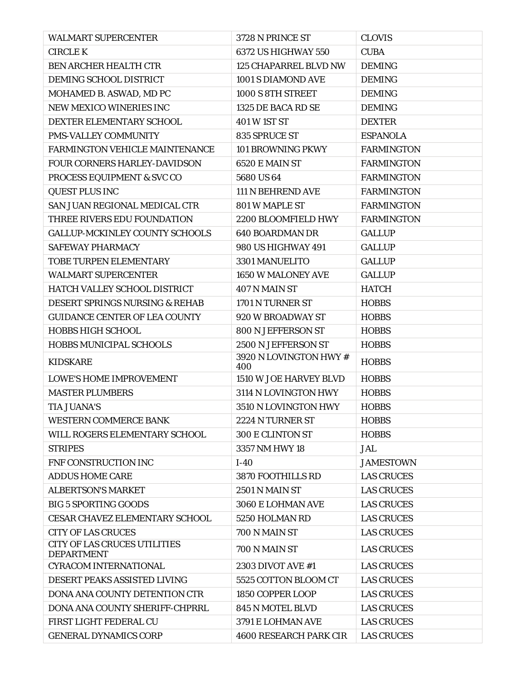| <b>WALMART SUPERCENTER</b>                               | 3728 N PRINCE ST              | <b>CLOVIS</b>     |
|----------------------------------------------------------|-------------------------------|-------------------|
| <b>CIRCLE K</b>                                          | 6372 US HIGHWAY 550           | <b>CUBA</b>       |
| BEN ARCHER HEALTH CTR                                    | 125 CHAPARREL BLVD NW         | <b>DEMING</b>     |
| DEMING SCHOOL DISTRICT                                   | 1001 S DIAMOND AVE            | <b>DEMING</b>     |
| MOHAMED B. ASWAD, MD PC                                  | 1000 S 8TH STREET             | <b>DEMING</b>     |
| <b>NEW MEXICO WINERIES INC</b>                           | 1325 DE BACA RD SE            | <b>DEMING</b>     |
| DEXTER ELEMENTARY SCHOOL                                 | 401 W 1ST ST                  | <b>DEXTER</b>     |
| <b>PMS-VALLEY COMMUNITY</b>                              | 835 SPRUCE ST                 | <b>ESPANOLA</b>   |
| <b>FARMINGTON VEHICLE MAINTENANCE</b>                    | 101 BROWNING PKWY             | <b>FARMINGTON</b> |
| FOUR CORNERS HARLEY-DAVIDSON                             | 6520 E MAIN ST                | <b>FARMINGTON</b> |
| PROCESS EQUIPMENT & SVC CO                               | 5680 US 64                    | <b>FARMINGTON</b> |
| <b>QUEST PLUS INC</b>                                    | <b>111 N BEHREND AVE</b>      | <b>FARMINGTON</b> |
| SAN JUAN REGIONAL MEDICAL CTR                            | 801 W MAPLE ST                | <b>FARMINGTON</b> |
| THREE RIVERS EDU FOUNDATION                              | 2200 BLOOMFIELD HWY           | <b>FARMINGTON</b> |
| <b>GALLUP-MCKINLEY COUNTY SCHOOLS</b>                    | <b>640 BOARDMAN DR</b>        | <b>GALLUP</b>     |
| <b>SAFEWAY PHARMACY</b>                                  | <b>980 US HIGHWAY 491</b>     | <b>GALLUP</b>     |
| TOBE TURPEN ELEMENTARY                                   | 3301 MANUELITO                | <b>GALLUP</b>     |
| <b>WALMART SUPERCENTER</b>                               | 1650 W MALONEY AVE            | <b>GALLUP</b>     |
| HATCH VALLEY SCHOOL DISTRICT                             | 407 N MAIN ST                 | <b>HATCH</b>      |
| DESERT SPRINGS NURSING & REHAB                           | 1701 N TURNER ST              | <b>HOBBS</b>      |
| <b>GUIDANCE CENTER OF LEA COUNTY</b>                     | 920 W BROADWAY ST             | <b>HOBBS</b>      |
| <b>HOBBS HIGH SCHOOL</b>                                 | 800 N JEFFERSON ST            | <b>HOBBS</b>      |
| <b>HOBBS MUNICIPAL SCHOOLS</b>                           | 2500 N JEFFERSON ST           | <b>HOBBS</b>      |
| <b>KIDSKARE</b>                                          | 3920 N LOVINGTON HWY #<br>400 | <b>HOBBS</b>      |
| <b>LOWE'S HOME IMPROVEMENT</b>                           | 1510 W JOE HARVEY BLVD        | <b>HOBBS</b>      |
| <b>MASTER PLUMBERS</b>                                   | 3114 N LOVINGTON HWY          | <b>HOBBS</b>      |
| <b>TIA JUANA'S</b>                                       | 3510 N LOVINGTON HWY          | <b>HOBBS</b>      |
| <b>WESTERN COMMERCE BANK</b>                             | 2224 N TURNER ST              | <b>HOBBS</b>      |
| WILL ROGERS ELEMENTARY SCHOOL                            | <b>300 E CLINTON ST</b>       | <b>HOBBS</b>      |
| <b>STRIPES</b>                                           | 3357 NM HWY 18                | <b>JAL</b>        |
| FNF CONSTRUCTION INC                                     | $I-40$                        | <b>JAMESTOWN</b>  |
| <b>ADDUS HOME CARE</b>                                   | <b>3870 FOOTHILLS RD</b>      | <b>LAS CRUCES</b> |
| <b>ALBERTSON'S MARKET</b>                                | <b>2501 N MAIN ST</b>         | <b>LAS CRUCES</b> |
| <b>BIG 5 SPORTING GOODS</b>                              | 3060 E LOHMAN AVE             | <b>LAS CRUCES</b> |
| <b>CESAR CHAVEZ ELEMENTARY SCHOOL</b>                    | 5250 HOLMAN RD                | <b>LAS CRUCES</b> |
| <b>CITY OF LAS CRUCES</b>                                | 700 N MAIN ST                 | <b>LAS CRUCES</b> |
| <b>CITY OF LAS CRUCES UTILITIES</b><br><b>DEPARTMENT</b> | 700 N MAIN ST                 | <b>LAS CRUCES</b> |
| <b>CYRACOM INTERNATIONAL</b>                             | 2303 DIVOT AVE #1             | <b>LAS CRUCES</b> |
| DESERT PEAKS ASSISTED LIVING                             | 5525 COTTON BLOOM CT          | <b>LAS CRUCES</b> |
| <b>DONA ANA COUNTY DETENTION CTR</b>                     | 1850 COPPER LOOP              | <b>LAS CRUCES</b> |
| DONA ANA COUNTY SHERIFF-CHPRRL                           | 845 N MOTEL BLVD              | <b>LAS CRUCES</b> |
| FIRST LIGHT FEDERAL CU                                   | 3791 E LOHMAN AVE             | <b>LAS CRUCES</b> |
| <b>GENERAL DYNAMICS CORP</b>                             | <b>4600 RESEARCH PARK CIR</b> | <b>LAS CRUCES</b> |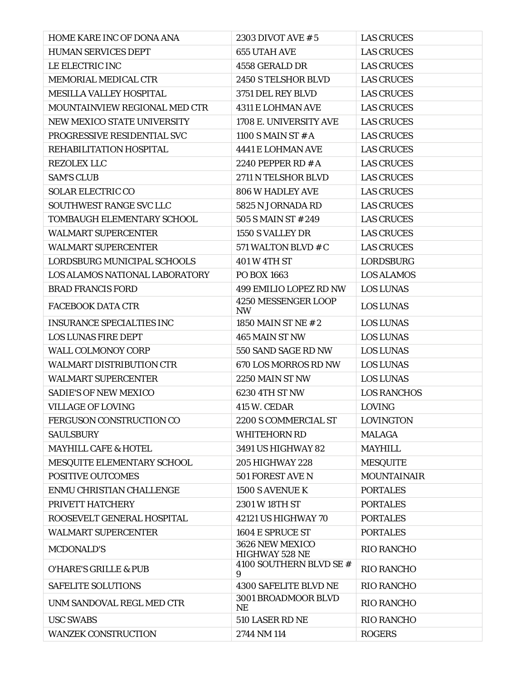| HOME KARE INC OF DONA ANA        | 2303 DIVOT AVE # 5                       | <b>LAS CRUCES</b>  |
|----------------------------------|------------------------------------------|--------------------|
| <b>HUMAN SERVICES DEPT</b>       | <b>655 UTAH AVE</b>                      | <b>LAS CRUCES</b>  |
| LE ELECTRIC INC                  | 4558 GERALD DR                           | <b>LAS CRUCES</b>  |
| MEMORIAL MEDICAL CTR             | 2450 S TELSHOR BLVD                      | <b>LAS CRUCES</b>  |
| <b>MESILLA VALLEY HOSPITAL</b>   | 3751 DEL REY BLVD                        | <b>LAS CRUCES</b>  |
| MOUNTAINVIEW REGIONAL MED CTR    | <b>4311 E LOHMAN AVE</b>                 | <b>LAS CRUCES</b>  |
| NEW MEXICO STATE UNIVERSITY      | 1708 E. UNIVERSITY AVE                   | <b>LAS CRUCES</b>  |
| PROGRESSIVE RESIDENTIAL SVC      | 1100 S MAIN ST $# A$                     | <b>LAS CRUCES</b>  |
| REHABILITATION HOSPITAL          | 4441 E LOHMAN AVE                        | <b>LAS CRUCES</b>  |
| <b>REZOLEX LLC</b>               | 2240 PEPPER RD # A                       | <b>LAS CRUCES</b>  |
| <b>SAM'S CLUB</b>                | 2711 N TELSHOR BLVD                      | <b>LAS CRUCES</b>  |
| <b>SOLAR ELECTRIC CO</b>         | <b>806 W HADLEY AVE</b>                  | <b>LAS CRUCES</b>  |
| SOUTHWEST RANGE SVC LLC          | 5825 N JORNADA RD                        | <b>LAS CRUCES</b>  |
| TOMBAUGH ELEMENTARY SCHOOL       | 505 S MAIN ST # 249                      | <b>LAS CRUCES</b>  |
| <b>WALMART SUPERCENTER</b>       | 1550 S VALLEY DR                         | <b>LAS CRUCES</b>  |
| <b>WALMART SUPERCENTER</b>       | 571 WALTON BLVD # C                      | <b>LAS CRUCES</b>  |
| LORDSBURG MUNICIPAL SCHOOLS      | <b>401 W 4TH ST</b>                      | <b>LORDSBURG</b>   |
| LOS ALAMOS NATIONAL LABORATORY   | PO BOX 1663                              | <b>LOS ALAMOS</b>  |
| <b>BRAD FRANCIS FORD</b>         | 499 EMILIO LOPEZ RD NW                   | <b>LOS LUNAS</b>   |
| <b>FACEBOOK DATA CTR</b>         | 4250 MESSENGER LOOP<br><b>NW</b>         | <b>LOS LUNAS</b>   |
| <b>INSURANCE SPECIALTIES INC</b> | 1850 MAIN ST NE # 2                      | <b>LOS LUNAS</b>   |
| <b>LOS LUNAS FIRE DEPT</b>       | 465 MAIN ST NW                           | <b>LOS LUNAS</b>   |
| <b>WALL COLMONOY CORP</b>        | 550 SAND SAGE RD NW                      | <b>LOS LUNAS</b>   |
| <b>WALMART DISTRIBUTION CTR</b>  | 670 LOS MORROS RD NW                     | <b>LOS LUNAS</b>   |
| <b>WALMART SUPERCENTER</b>       | 2250 MAIN ST NW                          | <b>LOS LUNAS</b>   |
| <b>SADIE'S OF NEW MEXICO</b>     | 6230 4TH ST NW                           | <b>LOS RANCHOS</b> |
| <b>VILLAGE OF LOVING</b>         | <b>415 W. CEDAR</b>                      | <b>LOVING</b>      |
| FERGUSON CONSTRUCTION CO         | 2200 S COMMERCIAL ST                     | <b>LOVINGTON</b>   |
| <b>SAULSBURY</b>                 | <b>WHITEHORN RD</b>                      | <b>MALAGA</b>      |
| <b>MAYHILL CAFE &amp; HOTEL</b>  | <b>3491 US HIGHWAY 82</b>                | <b>MAYHILL</b>     |
| MESQUITE ELEMENTARY SCHOOL       | <b>205 HIGHWAY 228</b>                   | <b>MESQUITE</b>    |
| <b>POSITIVE OUTCOMES</b>         | 501 FOREST AVE N                         | <b>MOUNTAINAIR</b> |
| <b>ENMU CHRISTIAN CHALLENGE</b>  | 1500 S AVENUE K                          | <b>PORTALES</b>    |
| PRIVETT HATCHERY                 | 2301 W 18TH ST                           | <b>PORTALES</b>    |
| ROOSEVELT GENERAL HOSPITAL       | 42121 US HIGHWAY 70                      | <b>PORTALES</b>    |
| <b>WALMART SUPERCENTER</b>       | 1604 E SPRUCE ST                         | <b>PORTALES</b>    |
| <b>MCDONALD'S</b>                | 3626 NEW MEXICO<br><b>HIGHWAY 528 NE</b> | <b>RIO RANCHO</b>  |
| <b>O'HARE'S GRILLE &amp; PUB</b> | 4100 SOUTHERN BLVD SE #<br>9             | <b>RIO RANCHO</b>  |
| <b>SAFELITE SOLUTIONS</b>        | <b>4300 SAFELITE BLVD NE</b>             | <b>RIO RANCHO</b>  |
| UNM SANDOVAL REGL MED CTR        | 3001 BROADMOOR BLVD<br><b>NE</b>         | <b>RIO RANCHO</b>  |
| <b>USC SWABS</b>                 | 510 LASER RD NE                          | <b>RIO RANCHO</b>  |
| <b>WANZEK CONSTRUCTION</b>       | 2744 NM 114                              | <b>ROGERS</b>      |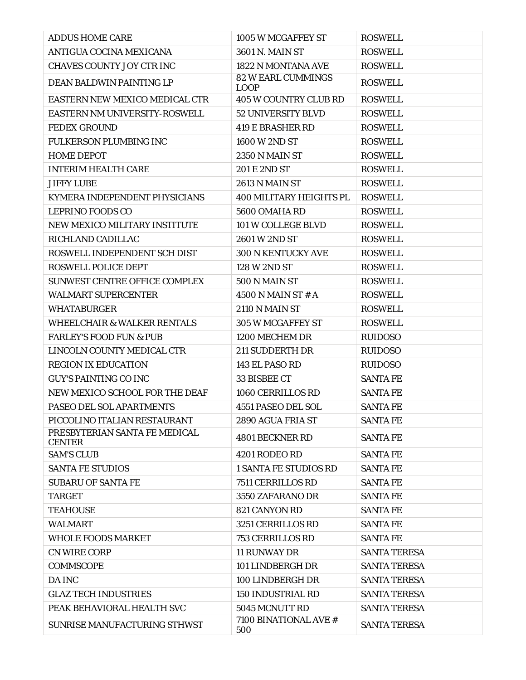| <b>ADDUS HOME CARE</b>                         | 1005 W MCGAFFEY ST                       | <b>ROSWELL</b>      |
|------------------------------------------------|------------------------------------------|---------------------|
| ANTIGUA COCINA MEXICANA                        | 3601 N. MAIN ST                          | <b>ROSWELL</b>      |
| <b>CHAVES COUNTY JOY CTR INC</b>               | 1822 N MONTANA AVE                       | <b>ROSWELL</b>      |
| <b>DEAN BALDWIN PAINTING LP</b>                | <b>82 W EARL CUMMINGS</b><br><b>LOOP</b> | <b>ROSWELL</b>      |
| EASTERN NEW MEXICO MEDICAL CTR                 | <b>405 W COUNTRY CLUB RD</b>             | <b>ROSWELL</b>      |
| EASTERN NM UNIVERSITY-ROSWELL                  | <b>52 UNIVERSITY BLVD</b>                | <b>ROSWELL</b>      |
| <b>FEDEX GROUND</b>                            | <b>419 E BRASHER RD</b>                  | <b>ROSWELL</b>      |
| <b>FULKERSON PLUMBING INC</b>                  | 1600 W 2ND ST                            | <b>ROSWELL</b>      |
| <b>HOME DEPOT</b>                              | <b>2350 N MAIN ST</b>                    | <b>ROSWELL</b>      |
| <b>INTERIM HEALTH CARE</b>                     | 201 E 2ND ST                             | <b>ROSWELL</b>      |
| <b>JIFFY LUBE</b>                              | <b>2613 N MAIN ST</b>                    | <b>ROSWELL</b>      |
| KYMERA INDEPENDENT PHYSICIANS                  | <b>400 MILITARY HEIGHTS PL</b>           | <b>ROSWELL</b>      |
| <b>LEPRINO FOODS CO</b>                        | 5600 OMAHA RD                            | <b>ROSWELL</b>      |
| NEW MEXICO MILITARY INSTITUTE                  | 101 W COLLEGE BLVD                       | <b>ROSWELL</b>      |
| RICHLAND CADILLAC                              | 2601 W 2ND ST                            | <b>ROSWELL</b>      |
| ROSWELL INDEPENDENT SCH DIST                   | <b>300 N KENTUCKY AVE</b>                | <b>ROSWELL</b>      |
| <b>ROSWELL POLICE DEPT</b>                     | 128 W 2ND ST                             | <b>ROSWELL</b>      |
| SUNWEST CENTRE OFFICE COMPLEX                  | 500 N MAIN ST                            | <b>ROSWELL</b>      |
| <b>WALMART SUPERCENTER</b>                     | 4500 N MAIN ST $#A$                      | <b>ROSWELL</b>      |
| <b>WHATABURGER</b>                             | <b>2110 N MAIN ST</b>                    | <b>ROSWELL</b>      |
| <b>WHEELCHAIR &amp; WALKER RENTALS</b>         | 305 W MCGAFFEY ST                        | <b>ROSWELL</b>      |
| <b>FARLEY'S FOOD FUN &amp; PUB</b>             | 1200 MECHEM DR                           | <b>RUIDOSO</b>      |
| LINCOLN COUNTY MEDICAL CTR                     | 211 SUDDERTH DR                          | <b>RUIDOSO</b>      |
| <b>REGION IX EDUCATION</b>                     | 143 EL PASO RD                           | <b>RUIDOSO</b>      |
| <b>GUY'S PAINTING CO INC</b>                   | 33 BISBEE CT                             | <b>SANTA FE</b>     |
| NEW MEXICO SCHOOL FOR THE DEAF                 | 1060 CERRILLOS RD                        | <b>SANTA FE</b>     |
| PASEO DEL SOL APARTMENTS                       | 4551 PASEO DEL SOL                       | <b>SANTA FE</b>     |
| PICCOLINO ITALIAN RESTAURANT                   | 2890 AGUA FRIA ST                        | <b>SANTA FE</b>     |
| PRESBYTERIAN SANTA FE MEDICAL<br><b>CENTER</b> | 4801 BECKNER RD                          | <b>SANTA FE</b>     |
| <b>SAM'S CLUB</b>                              | 4201 RODEO RD                            | <b>SANTA FE</b>     |
| <b>SANTA FE STUDIOS</b>                        | <b>1 SANTA FE STUDIOS RD</b>             | <b>SANTA FE</b>     |
| <b>SUBARU OF SANTA FE</b>                      | 7511 CERRILLOS RD                        | <b>SANTA FE</b>     |
| <b>TARGET</b>                                  | 3550 ZAFARANO DR                         | <b>SANTA FE</b>     |
| <b>TEAHOUSE</b>                                | 821 CANYON RD                            | <b>SANTA FE</b>     |
| <b>WALMART</b>                                 | 3251 CERRILLOS RD                        | <b>SANTA FE</b>     |
| <b>WHOLE FOODS MARKET</b>                      | <b>753 CERRILLOS RD</b>                  | <b>SANTA FE</b>     |
| <b>CN WIRE CORP</b>                            | <b>11 RUNWAY DR</b>                      | <b>SANTA TERESA</b> |
| <b>COMMSCOPE</b>                               | 101 LINDBERGH DR                         | <b>SANTA TERESA</b> |
| <b>DA INC</b>                                  | 100 LINDBERGH DR                         | <b>SANTA TERESA</b> |
| <b>GLAZ TECH INDUSTRIES</b>                    | <b>150 INDUSTRIAL RD</b>                 | <b>SANTA TERESA</b> |
| PEAK BEHAVIORAL HEALTH SVC                     | 5045 MCNUTT RD                           | <b>SANTA TERESA</b> |
| SUNRISE MANUFACTURING STHWST                   | 7100 BINATIONAL AVE #<br>500             | <b>SANTA TERESA</b> |